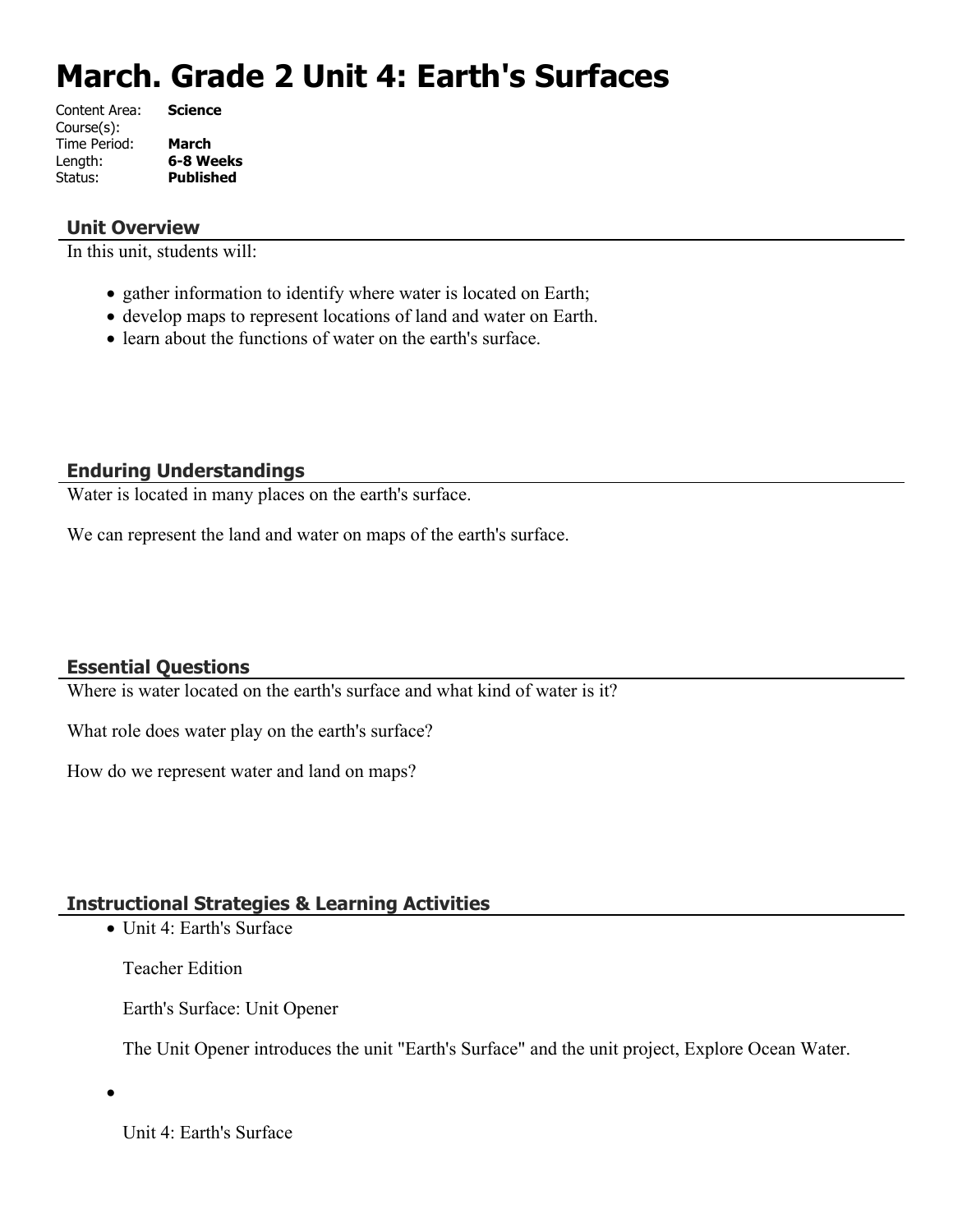# **March. Grade 2 Unit 4: Earth's Surfaces**

| Content Area: | <b>Science</b>   |
|---------------|------------------|
| Course(s):    |                  |
| Time Period:  | March            |
| Length:       | 6-8 Weeks        |
| Status:       | <b>Published</b> |
|               |                  |

#### **Unit Overview**

In this unit, students will:

- gather information to identify where water is located on Earth;
- develop maps to represent locations of land and water on Earth.
- learn about the functions of water on the earth's surface.

#### **Enduring Understandings**

Water is located in many places on the earth's surface.

We can represent the land and water on maps of the earth's surface.

#### **Essential Questions**

Where is water located on the earth's surface and what kind of water is it?

What role does water play on the earth's surface?

How do we represent water and land on maps?

## **Instructional Strategies & Learning Activities**

Unit 4: Earth's Surface

Teacher Edition

Earth's Surface: Unit Opener

The Unit Opener introduces the unit "Earth's Surface" and the unit project, Explore Ocean Water.

 $\bullet$ 

Unit 4: Earth's Surface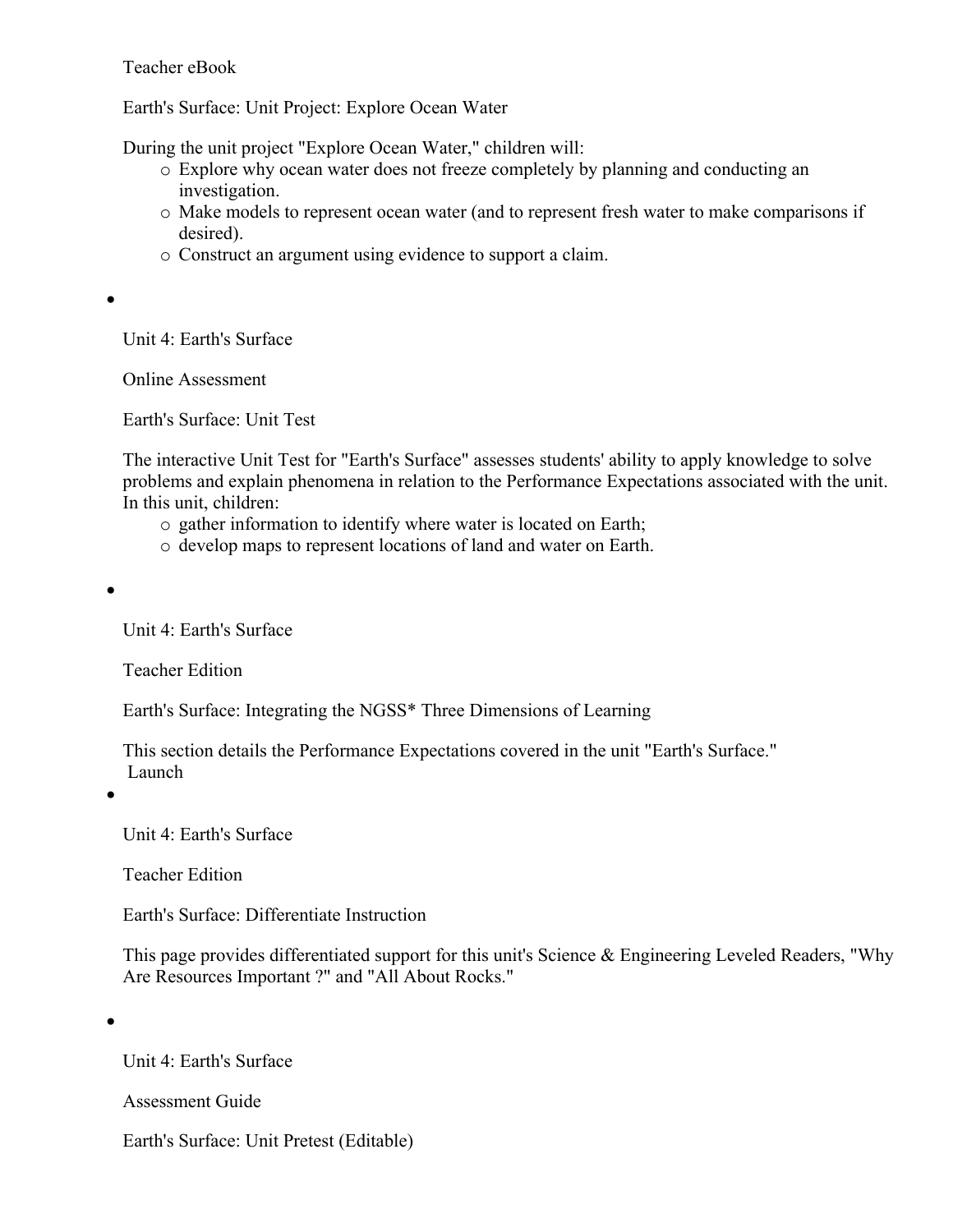Teacher eBook

Earth's Surface: Unit Project: Explore Ocean Water

During the unit project "Explore Ocean Water," children will:

- o Explore why ocean water does not freeze completely by planning and conducting an investigation.
- o Make models to represent ocean water (and to represent fresh water to make comparisons if desired).
- o Construct an argument using evidence to support a claim.
- $\bullet$

Unit 4: Earth's Surface

Online Assessment

Earth's Surface: Unit Test

The interactive Unit Test for "Earth's Surface" assesses students' ability to apply knowledge to solve problems and explain phenomena in relation to the Performance Expectations associated with the unit. In this unit, children:

- o gather information to identify where water is located on Earth;
- o develop maps to represent locations of land and water on Earth.

 $\bullet$ 

Unit 4: Earth's Surface

Teacher Edition

Earth's Surface: Integrating the NGSS\* Three Dimensions of Learning

This section details the Performance Expectations covered in the unit "Earth's Surface." Launch

 $\bullet$ 

Unit 4: Earth's Surface

Teacher Edition

Earth's Surface: Differentiate Instruction

This page provides differentiated support for this unit's Science & Engineering Leveled Readers, "Why Are Resources Important ?" and "All About Rocks."

 $\bullet$ 

Unit 4: Earth's Surface

Assessment Guide

Earth's Surface: Unit Pretest (Editable)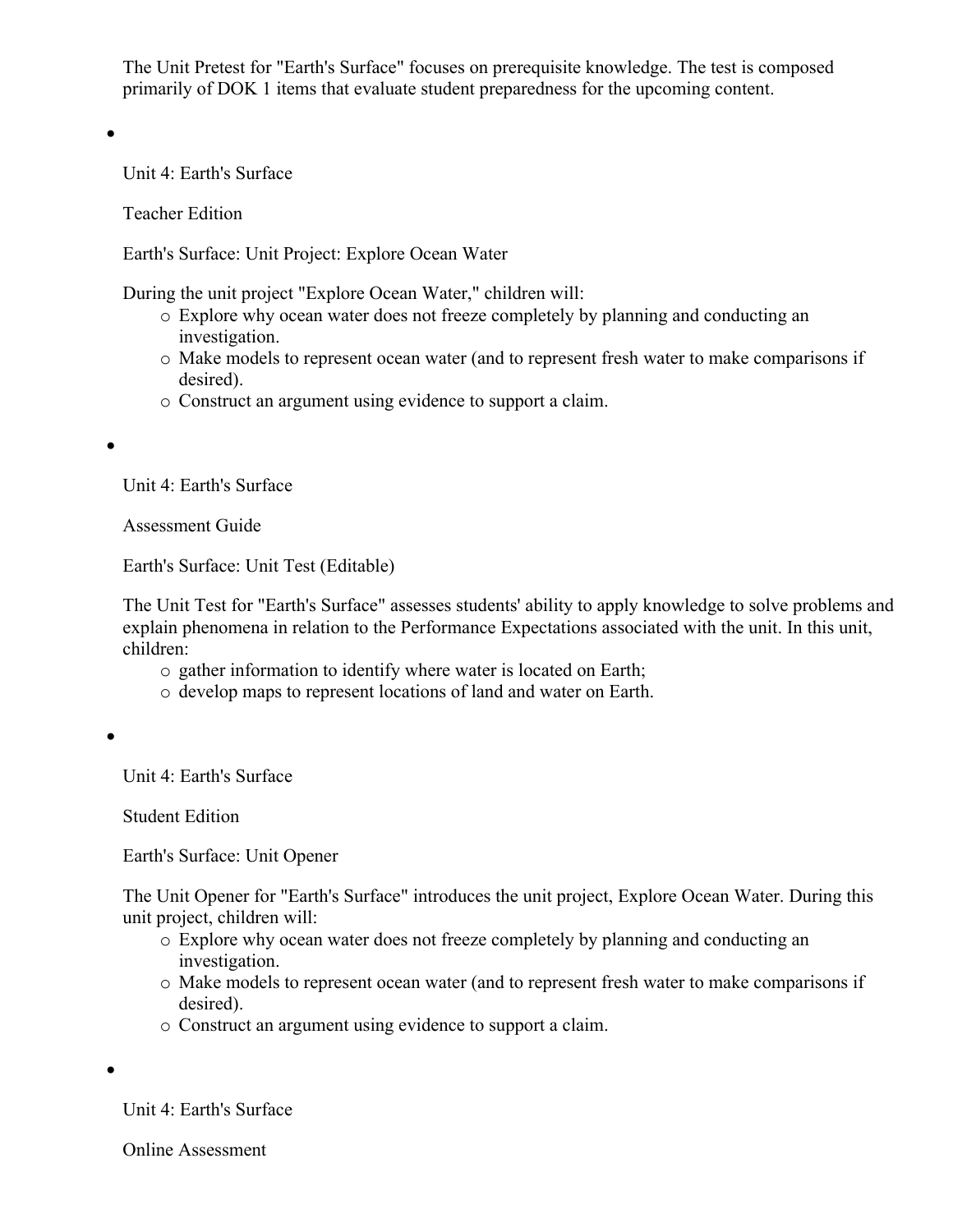The Unit Pretest for "Earth's Surface" focuses on prerequisite knowledge. The test is composed primarily of DOK 1 items that evaluate student preparedness for the upcoming content.

 $\bullet$ 

Unit 4: Earth's Surface

Teacher Edition

Earth's Surface: Unit Project: Explore Ocean Water

During the unit project "Explore Ocean Water," children will:

- o Explore why ocean water does not freeze completely by planning and conducting an investigation.
- o Make models to represent ocean water (and to represent fresh water to make comparisons if desired).
- o Construct an argument using evidence to support a claim.

 $\bullet$ 

Unit 4: Earth's Surface

Assessment Guide

Earth's Surface: Unit Test (Editable)

The Unit Test for "Earth's Surface" assesses students' ability to apply knowledge to solve problems and explain phenomena in relation to the Performance Expectations associated with the unit. In this unit, children:

- o gather information to identify where water is located on Earth;
- o develop maps to represent locations of land and water on Earth.

Unit 4: Earth's Surface

Student Edition

Earth's Surface: Unit Opener

The Unit Opener for "Earth's Surface" introduces the unit project, Explore Ocean Water. During this unit project, children will:

- o Explore why ocean water does not freeze completely by planning and conducting an investigation.
- o Make models to represent ocean water (and to represent fresh water to make comparisons if desired).
- o Construct an argument using evidence to support a claim.

 $\bullet$ 

Unit 4: Earth's Surface

Online Assessment

 $\bullet$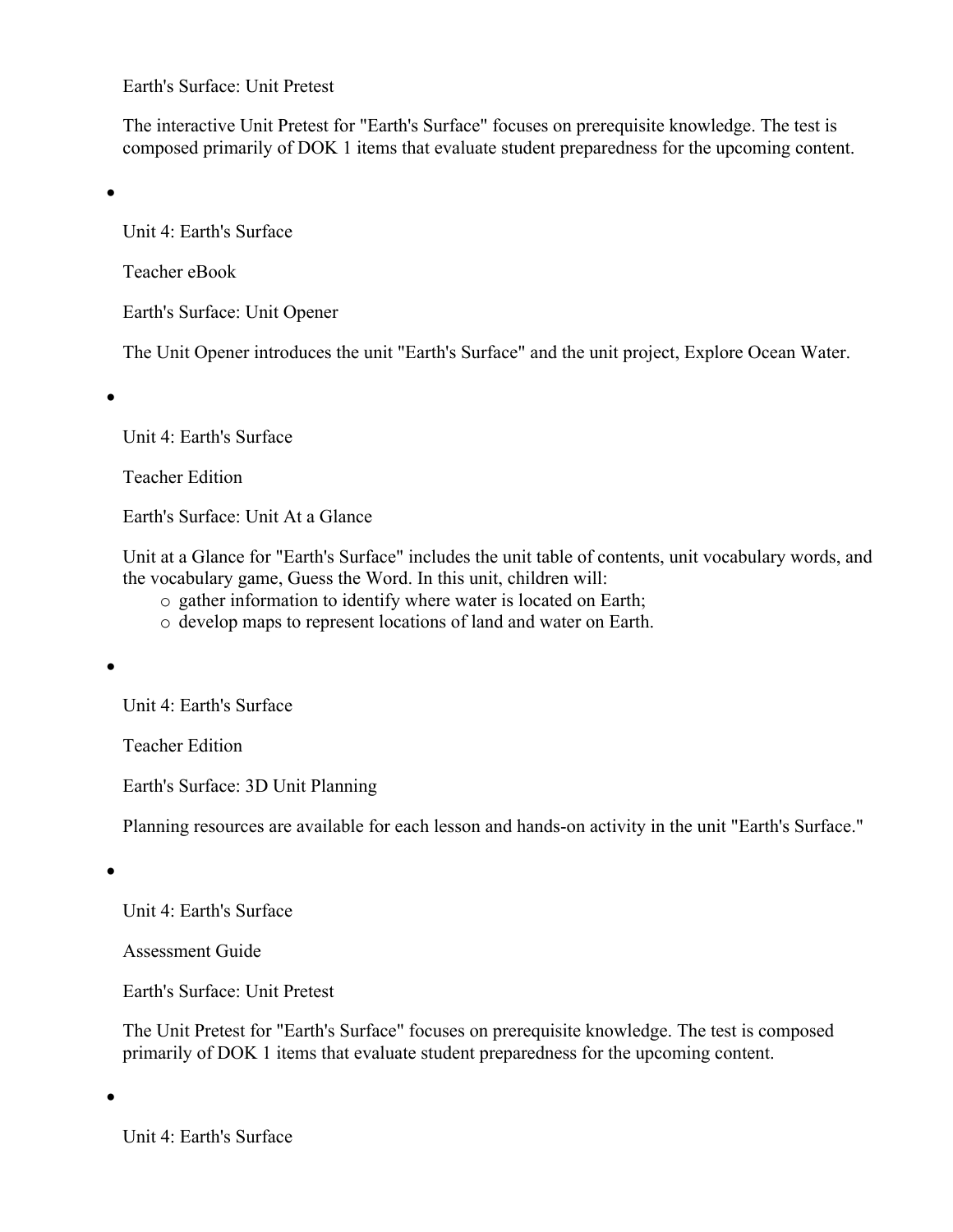Earth's Surface: Unit Pretest

The interactive Unit Pretest for "Earth's Surface" focuses on prerequisite knowledge. The test is composed primarily of DOK 1 items that evaluate student preparedness for the upcoming content.

 $\bullet$ 

Unit 4: Earth's Surface

Teacher eBook

Earth's Surface: Unit Opener

The Unit Opener introduces the unit "Earth's Surface" and the unit project, Explore Ocean Water.

 $\bullet$ 

Unit 4: Earth's Surface

Teacher Edition

Earth's Surface: Unit At a Glance

Unit at a Glance for "Earth's Surface" includes the unit table of contents, unit vocabulary words, and the vocabulary game, Guess the Word. In this unit, children will:

- o gather information to identify where water is located on Earth;
- o develop maps to represent locations of land and water on Earth.

 $\bullet$ 

Unit 4: Earth's Surface

Teacher Edition

Earth's Surface: 3D Unit Planning

Planning resources are available for each lesson and hands-on activity in the unit "Earth's Surface."

 $\bullet$ 

Unit 4: Earth's Surface

Assessment Guide

Earth's Surface: Unit Pretest

The Unit Pretest for "Earth's Surface" focuses on prerequisite knowledge. The test is composed primarily of DOK 1 items that evaluate student preparedness for the upcoming content.

 $\bullet$ 

Unit 4: Earth's Surface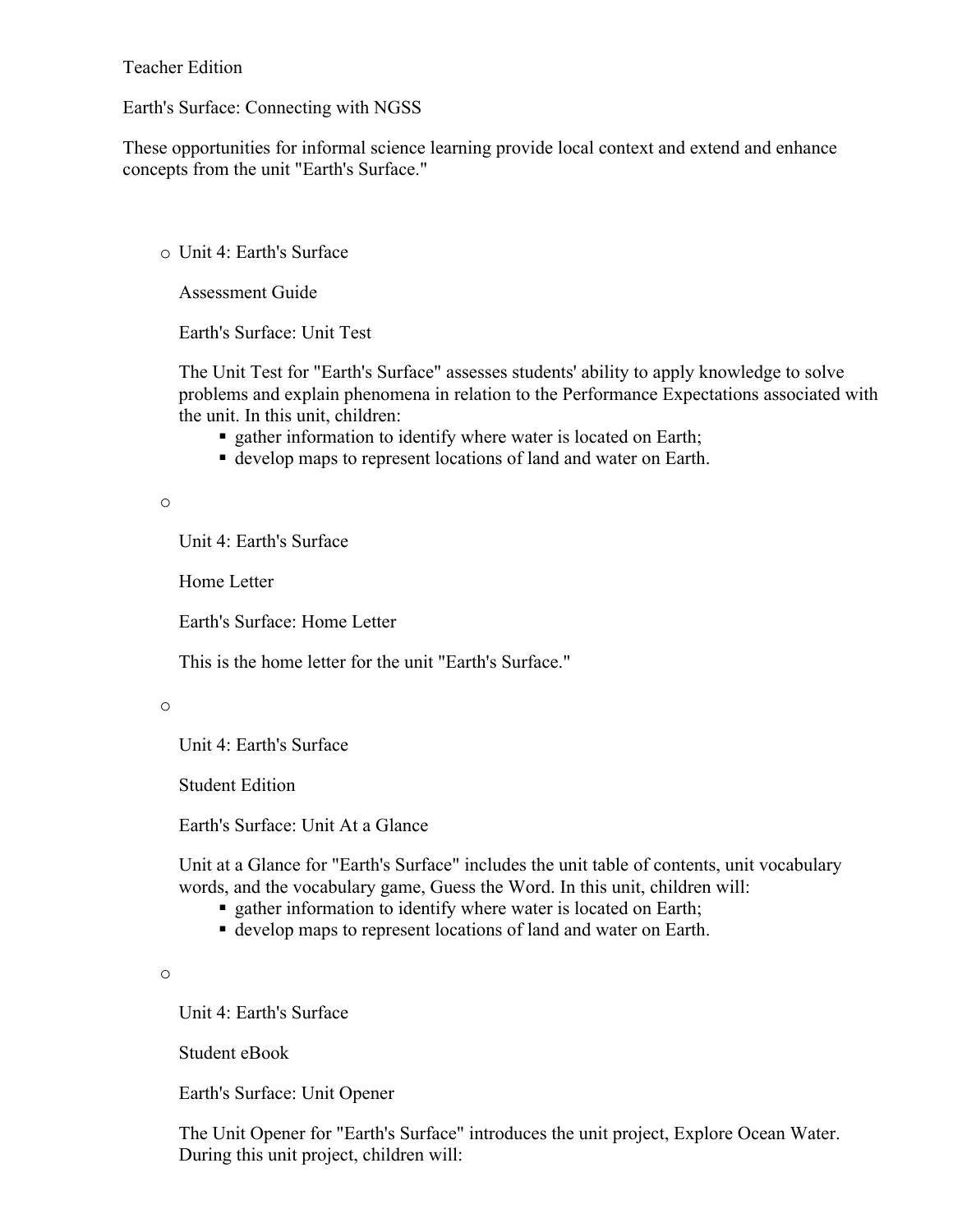Teacher Edition

Earth's Surface: Connecting with NGSS

These opportunities for informal science learning provide local context and extend and enhance concepts from the unit "Earth's Surface."

o Unit 4: Earth's Surface

Assessment Guide

Earth's Surface: Unit Test

The Unit Test for "Earth's Surface" assesses students' ability to apply knowledge to solve problems and explain phenomena in relation to the Performance Expectations associated with the unit. In this unit, children:

- **gather information to identify where water is located on Earth;**
- develop maps to represent locations of land and water on Earth.

o

Unit 4: Earth's Surface

Home Letter

Earth's Surface: Home Letter

This is the home letter for the unit "Earth's Surface."

o

Unit 4: Earth's Surface

Student Edition

Earth's Surface: Unit At a Glance

Unit at a Glance for "Earth's Surface" includes the unit table of contents, unit vocabulary words, and the vocabulary game, Guess the Word. In this unit, children will:

- **gather information to identify where water is located on Earth;**
- develop maps to represent locations of land and water on Earth.

o

Unit 4: Earth's Surface

Student eBook

Earth's Surface: Unit Opener

The Unit Opener for "Earth's Surface" introduces the unit project, Explore Ocean Water. During this unit project, children will: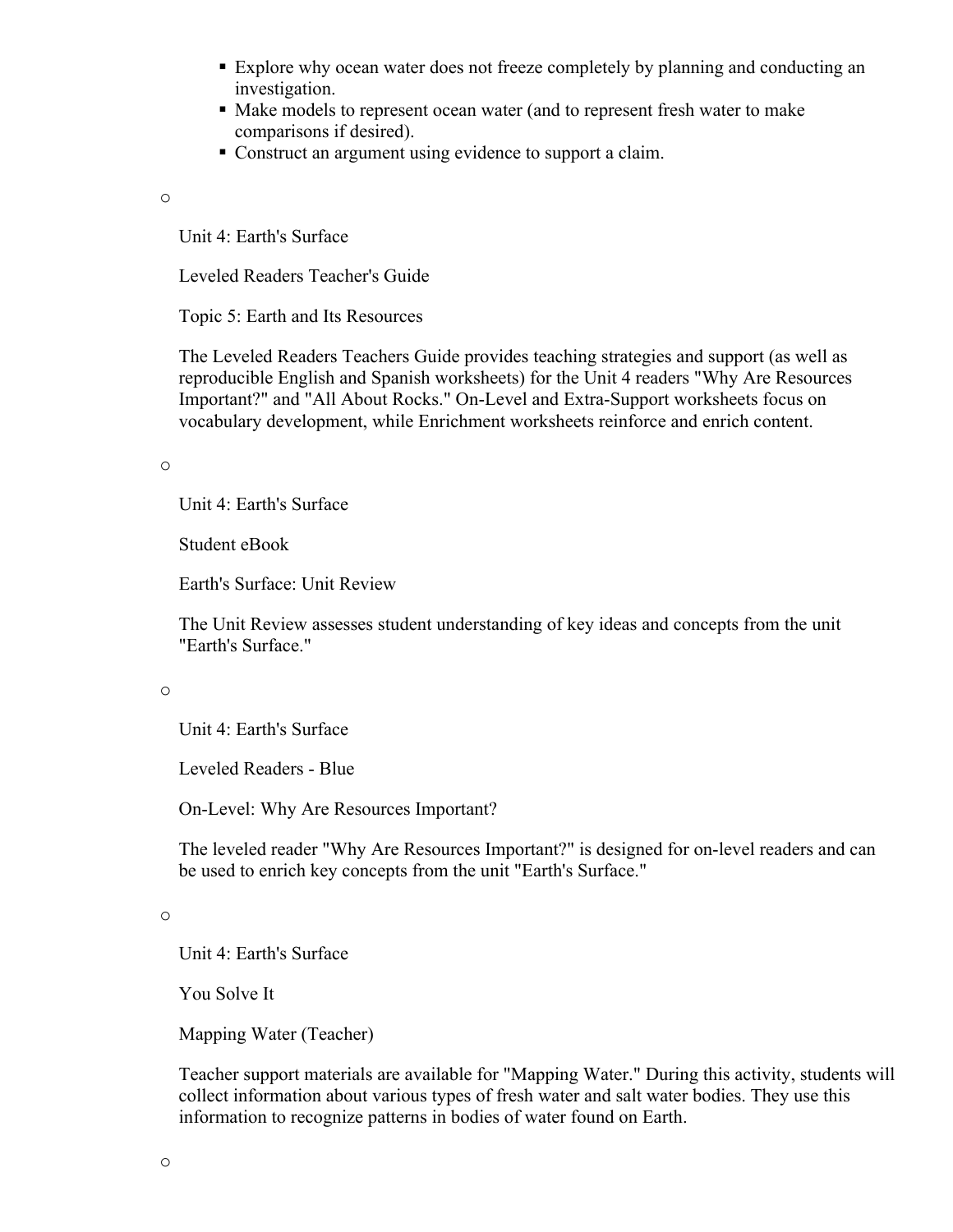- Explore why ocean water does not freeze completely by planning and conducting an investigation.
- Make models to represent ocean water (and to represent fresh water to make comparisons if desired).
- Construct an argument using evidence to support a claim.

o

Unit 4: Earth's Surface

Leveled Readers Teacher's Guide

Topic 5: Earth and Its Resources

The Leveled Readers Teachers Guide provides teaching strategies and support (as well as reproducible English and Spanish worksheets) for the Unit 4 readers "Why Are Resources Important?" and "All About Rocks." On-Level and Extra-Support worksheets focus on vocabulary development, while Enrichment worksheets reinforce and enrich content.

o

Unit 4: Earth's Surface

Student eBook

Earth's Surface: Unit Review

The Unit Review assesses student understanding of key ideas and concepts from the unit "Earth's Surface."

#### o

Unit 4: Earth's Surface

Leveled Readers - Blue

On-Level: Why Are Resources Important?

The leveled reader "Why Are Resources Important?" is designed for on-level readers and can be used to enrich key concepts from the unit "Earth's Surface."

o

Unit 4: Earth's Surface

You Solve It

Mapping Water (Teacher)

Teacher support materials are available for "Mapping Water." During this activity, students will collect information about various types of fresh water and salt water bodies. They use this information to recognize patterns in bodies of water found on Earth.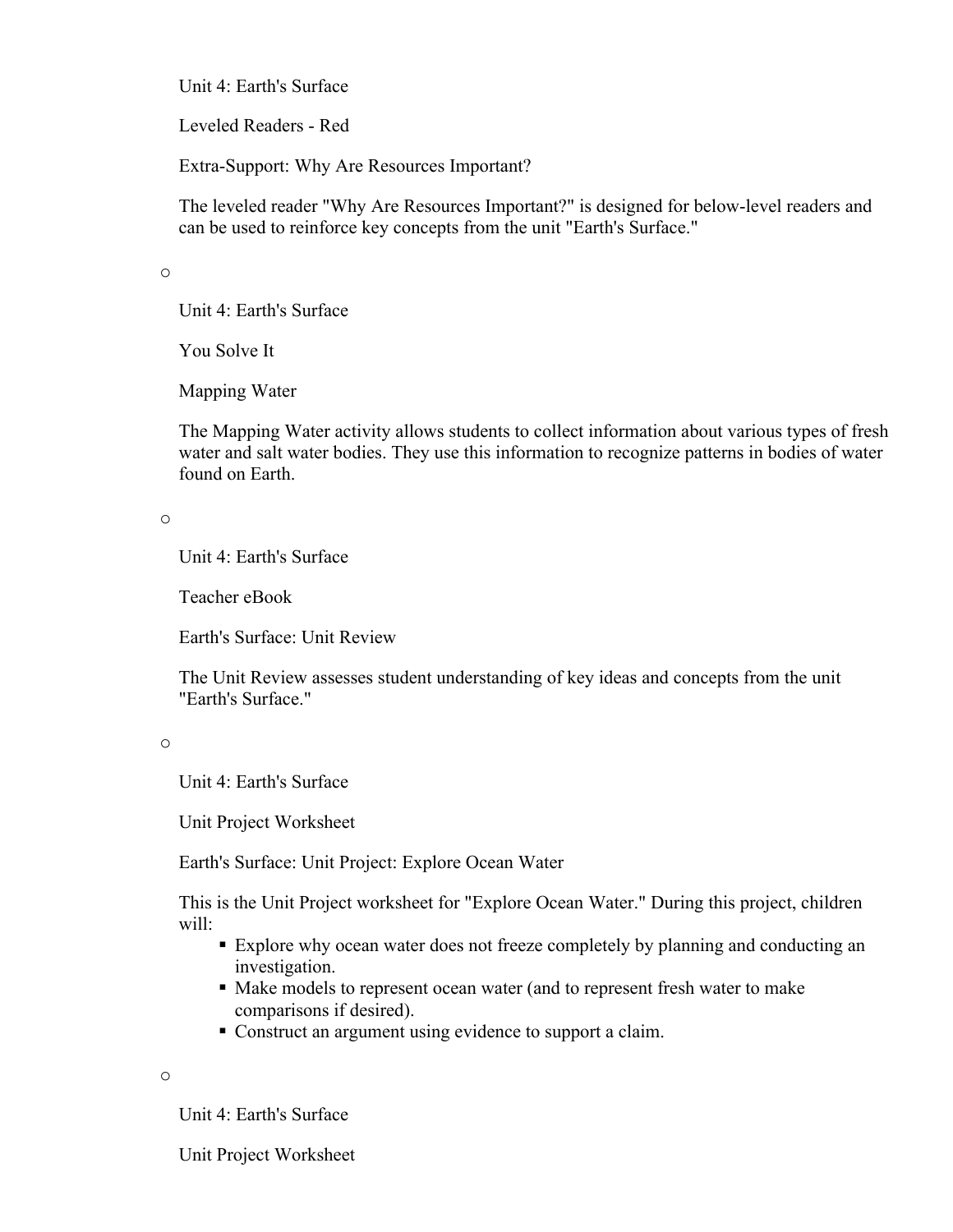Unit 4: Earth's Surface

Leveled Readers - Red

Extra-Support: Why Are Resources Important?

The leveled reader "Why Are Resources Important?" is designed for below-level readers and can be used to reinforce key concepts from the unit "Earth's Surface."

o

Unit 4: Earth's Surface

You Solve It

Mapping Water

The Mapping Water activity allows students to collect information about various types of fresh water and salt water bodies. They use this information to recognize patterns in bodies of water found on Earth.

o

Unit 4: Earth's Surface

Teacher eBook

Earth's Surface: Unit Review

The Unit Review assesses student understanding of key ideas and concepts from the unit "Earth's Surface."

o

Unit 4: Earth's Surface

Unit Project Worksheet

Earth's Surface: Unit Project: Explore Ocean Water

This is the Unit Project worksheet for "Explore Ocean Water." During this project, children will:

- Explore why ocean water does not freeze completely by planning and conducting an investigation.
- Make models to represent ocean water (and to represent fresh water to make comparisons if desired).
- Construct an argument using evidence to support a claim.

o

Unit 4: Earth's Surface

Unit Project Worksheet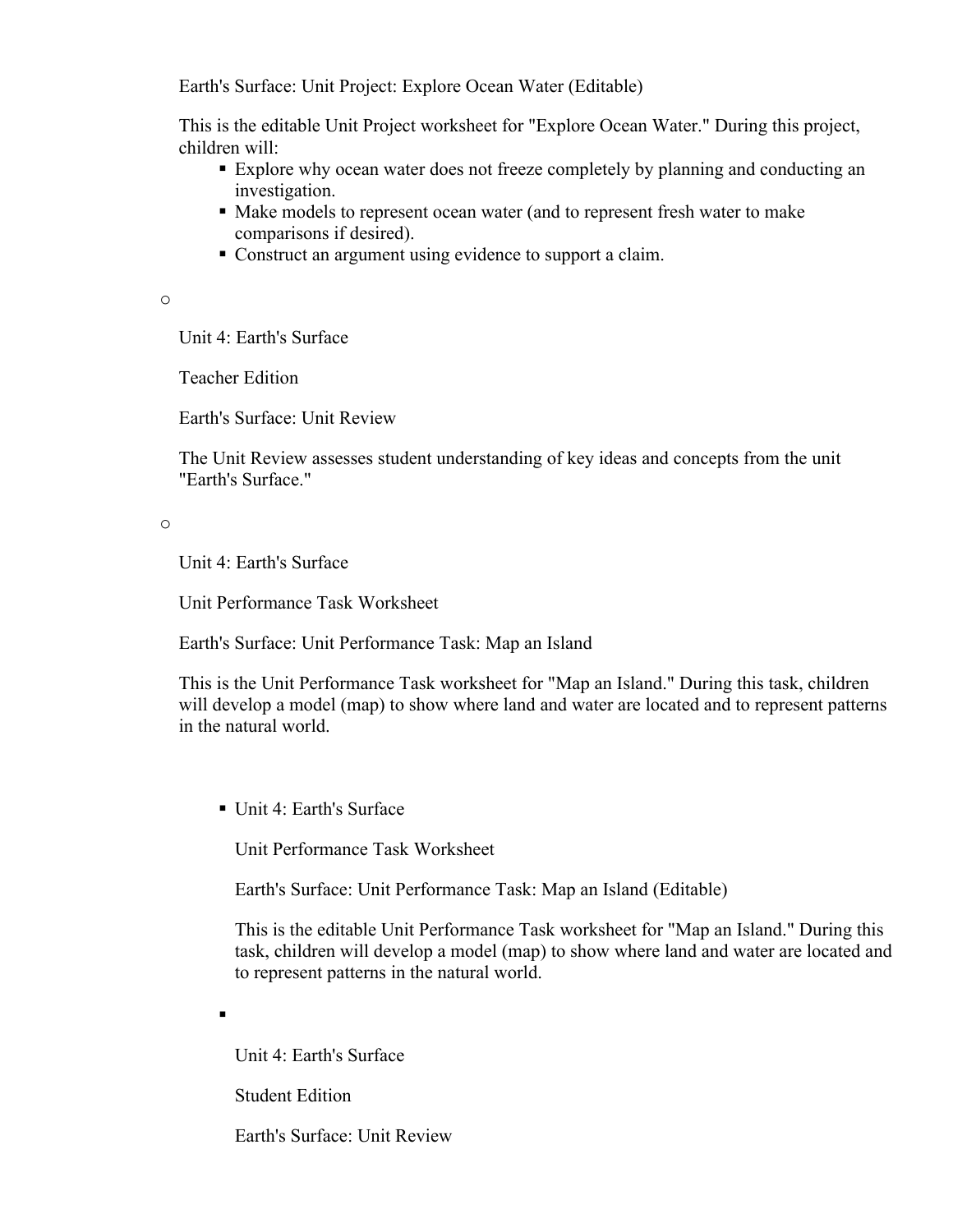Earth's Surface: Unit Project: Explore Ocean Water (Editable)

This is the editable Unit Project worksheet for "Explore Ocean Water." During this project, children will:

- Explore why ocean water does not freeze completely by planning and conducting an investigation.
- Make models to represent ocean water (and to represent fresh water to make comparisons if desired).
- Construct an argument using evidence to support a claim.

o

Unit 4: Earth's Surface

Teacher Edition

Earth's Surface: Unit Review

The Unit Review assesses student understanding of key ideas and concepts from the unit "Earth's Surface."

o

Unit 4: Earth's Surface

Unit Performance Task Worksheet

Earth's Surface: Unit Performance Task: Map an Island

This is the Unit Performance Task worksheet for "Map an Island." During this task, children will develop a model (map) to show where land and water are located and to represent patterns in the natural world.

 $\blacksquare$  Unit 4: Earth's Surface

Unit Performance Task Worksheet

Earth's Surface: Unit Performance Task: Map an Island (Editable)

This is the editable Unit Performance Task worksheet for "Map an Island." During this task, children will develop a model (map) to show where land and water are located and to represent patterns in the natural world.

.

Unit 4: Earth's Surface

Student Edition

Earth's Surface: Unit Review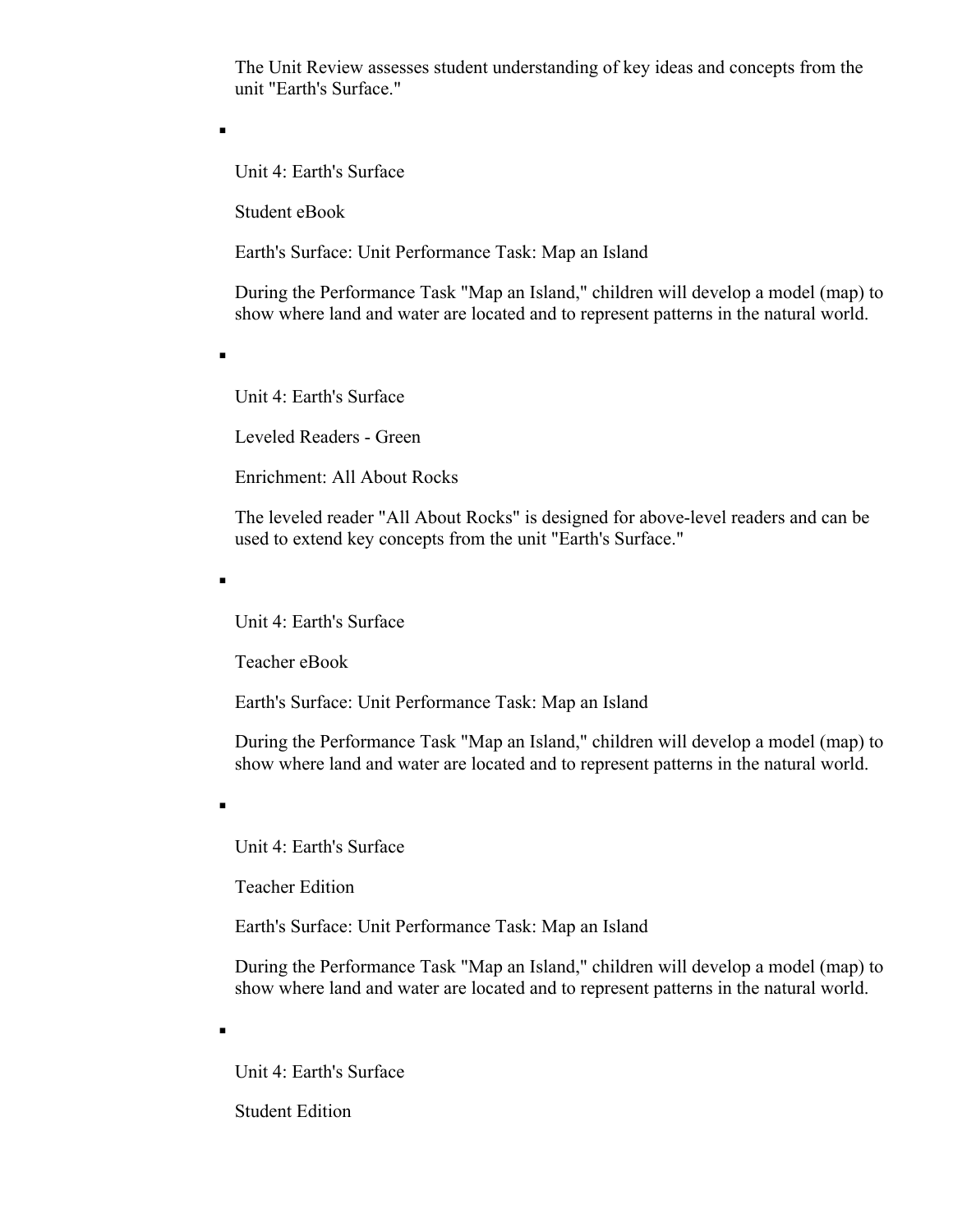The Unit Review assesses student understanding of key ideas and concepts from the unit "Earth's Surface."

Unit 4: Earth's Surface

Student eBook

Н

 $\blacksquare$ 

Earth's Surface: Unit Performance Task: Map an Island

During the Performance Task "Map an Island," children will develop a model (map) to show where land and water are located and to represent patterns in the natural world.

Unit 4: Earth's Surface

Leveled Readers - Green

Enrichment: All About Rocks

The leveled reader "All About Rocks" is designed for above-level readers and can be used to extend key concepts from the unit "Earth's Surface."

.

Unit 4: Earth's Surface

Teacher eBook

Earth's Surface: Unit Performance Task: Map an Island

During the Performance Task "Map an Island," children will develop a model (map) to show where land and water are located and to represent patterns in the natural world.

É

п

Unit 4: Earth's Surface

Teacher Edition

Earth's Surface: Unit Performance Task: Map an Island

During the Performance Task "Map an Island," children will develop a model (map) to show where land and water are located and to represent patterns in the natural world.

Unit 4: Earth's Surface

Student Edition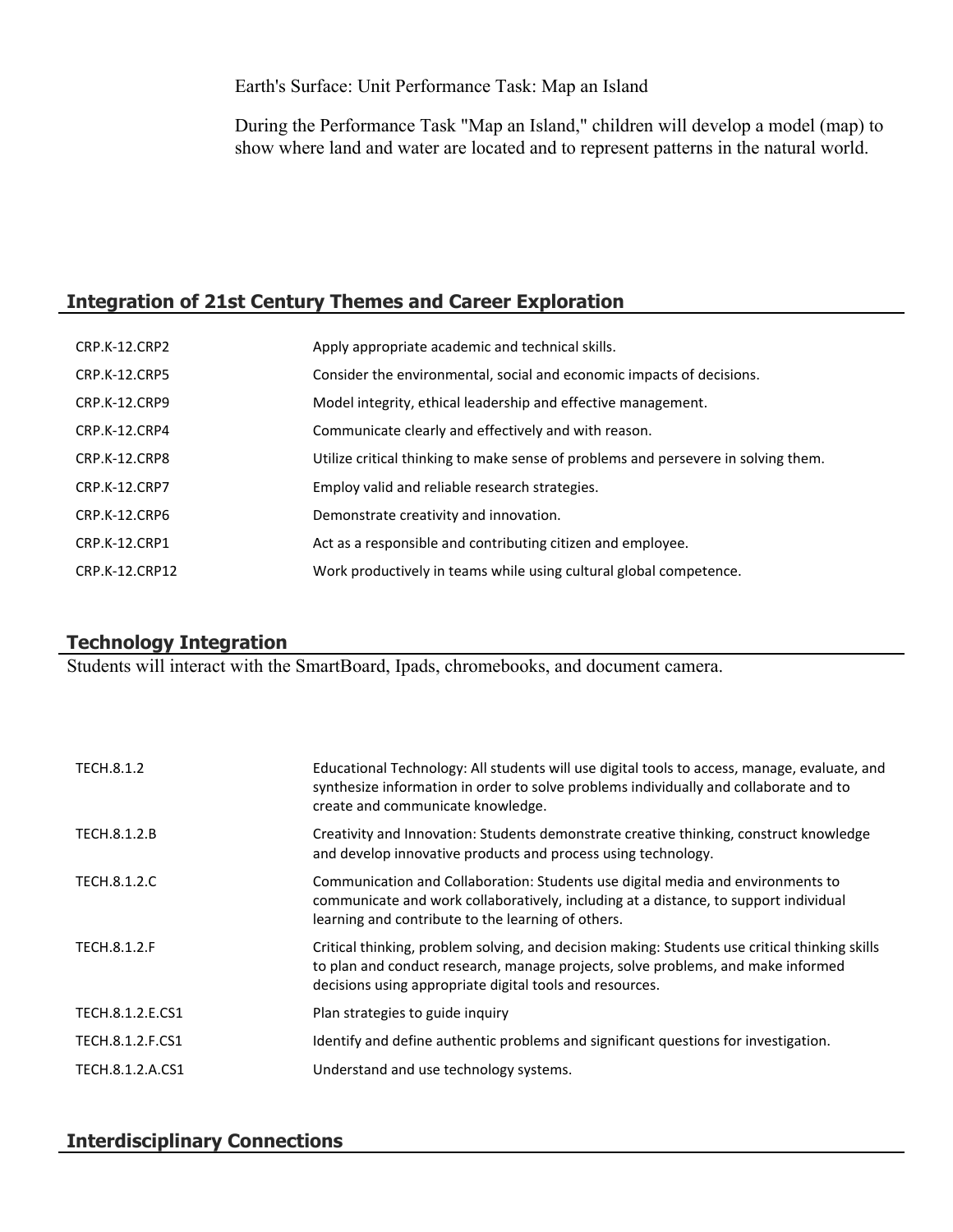Earth's Surface: Unit Performance Task: Map an Island

During the Performance Task "Map an Island," children will develop a model (map) to show where land and water are located and to represent patterns in the natural world.

## **Integration of 21st Century Themes and Career Exploration**

| CRP.K-12.CRP2        | Apply appropriate academic and technical skills.                                   |
|----------------------|------------------------------------------------------------------------------------|
| CRP.K-12.CRP5        | Consider the environmental, social and economic impacts of decisions.              |
| <b>CRP.K-12.CRP9</b> | Model integrity, ethical leadership and effective management.                      |
| CRP.K-12.CRP4        | Communicate clearly and effectively and with reason.                               |
| CRP.K-12.CRP8        | Utilize critical thinking to make sense of problems and persevere in solving them. |
| <b>CRP.K-12.CRP7</b> | Employ valid and reliable research strategies.                                     |
| CRP.K-12.CRP6        | Demonstrate creativity and innovation.                                             |
| CRP.K-12.CRP1        | Act as a responsible and contributing citizen and employee.                        |
| CRP.K-12.CRP12       | Work productively in teams while using cultural global competence.                 |

## **Technology Integration**

Students will interact with the SmartBoard, Ipads, chromebooks, and document camera.

| TECH.8.1.2       | Educational Technology: All students will use digital tools to access, manage, evaluate, and<br>synthesize information in order to solve problems individually and collaborate and to<br>create and communicate knowledge.                     |
|------------------|------------------------------------------------------------------------------------------------------------------------------------------------------------------------------------------------------------------------------------------------|
| TECH.8.1.2.B     | Creativity and Innovation: Students demonstrate creative thinking, construct knowledge<br>and develop innovative products and process using technology.                                                                                        |
| TECH.8.1.2.C     | Communication and Collaboration: Students use digital media and environments to<br>communicate and work collaboratively, including at a distance, to support individual<br>learning and contribute to the learning of others.                  |
| TECH.8.1.2.F     | Critical thinking, problem solving, and decision making: Students use critical thinking skills<br>to plan and conduct research, manage projects, solve problems, and make informed<br>decisions using appropriate digital tools and resources. |
| TECH.8.1.2.E.CS1 | Plan strategies to guide inquiry                                                                                                                                                                                                               |
| TECH.8.1.2.F.CS1 | Identify and define authentic problems and significant questions for investigation.                                                                                                                                                            |
| TECH.8.1.2.A.CS1 | Understand and use technology systems.                                                                                                                                                                                                         |

### **Interdisciplinary Connections**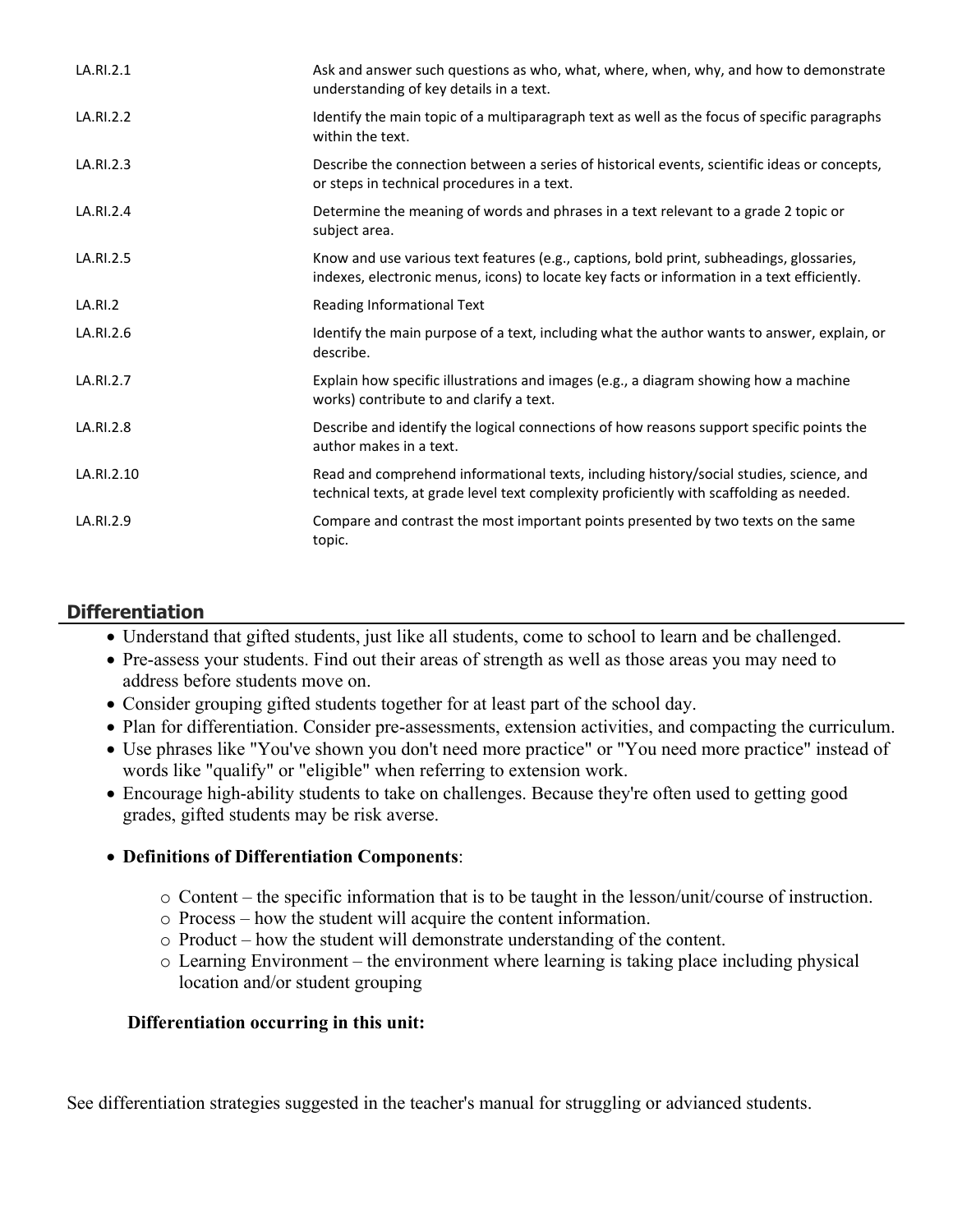| LA.RI.2.1      | Ask and answer such questions as who, what, where, when, why, and how to demonstrate<br>understanding of key details in a text.                                                         |
|----------------|-----------------------------------------------------------------------------------------------------------------------------------------------------------------------------------------|
| LA.RI.2.2      | Identify the main topic of a multiparagraph text as well as the focus of specific paragraphs<br>within the text.                                                                        |
| LA.RI.2.3      | Describe the connection between a series of historical events, scientific ideas or concepts,<br>or steps in technical procedures in a text.                                             |
| LA.RI.2.4      | Determine the meaning of words and phrases in a text relevant to a grade 2 topic or<br>subject area.                                                                                    |
| LA.RI.2.5      | Know and use various text features (e.g., captions, bold print, subheadings, glossaries,<br>indexes, electronic menus, icons) to locate key facts or information in a text efficiently. |
| <b>LA.RI.2</b> | Reading Informational Text                                                                                                                                                              |
| LA.RI.2.6      | Identify the main purpose of a text, including what the author wants to answer, explain, or<br>describe.                                                                                |
| LA.RI.2.7      | Explain how specific illustrations and images (e.g., a diagram showing how a machine<br>works) contribute to and clarify a text.                                                        |
| LA.RI.2.8      | Describe and identify the logical connections of how reasons support specific points the<br>author makes in a text.                                                                     |
| LA.RI.2.10     | Read and comprehend informational texts, including history/social studies, science, and<br>technical texts, at grade level text complexity proficiently with scaffolding as needed.     |
| LA.RI.2.9      | Compare and contrast the most important points presented by two texts on the same<br>topic.                                                                                             |

## **Differentiation**

- Understand that gifted students, just like all students, come to school to learn and be challenged.
- Pre-assess your students. Find out their areas of strength as well as those areas you may need to address before students move on.
- Consider grouping gifted students together for at least part of the school day.
- Plan for differentiation. Consider pre-assessments, extension activities, and compacting the curriculum.
- Use phrases like "You've shown you don't need more practice" or "You need more practice" instead of words like "qualify" or "eligible" when referring to extension work.
- Encourage high-ability students to take on challenges. Because they're often used to getting good grades, gifted students may be risk averse.

### **Definitions of Differentiation Components**:

- o Content the specific information that is to be taught in the lesson/unit/course of instruction.
- o Process how the student will acquire the content information.
- o Product how the student will demonstrate understanding of the content.
- o Learning Environment the environment where learning is taking place including physical location and/or student grouping

### **Differentiation occurring in this unit:**

See differentiation strategies suggested in the teacher's manual for struggling or advianced students.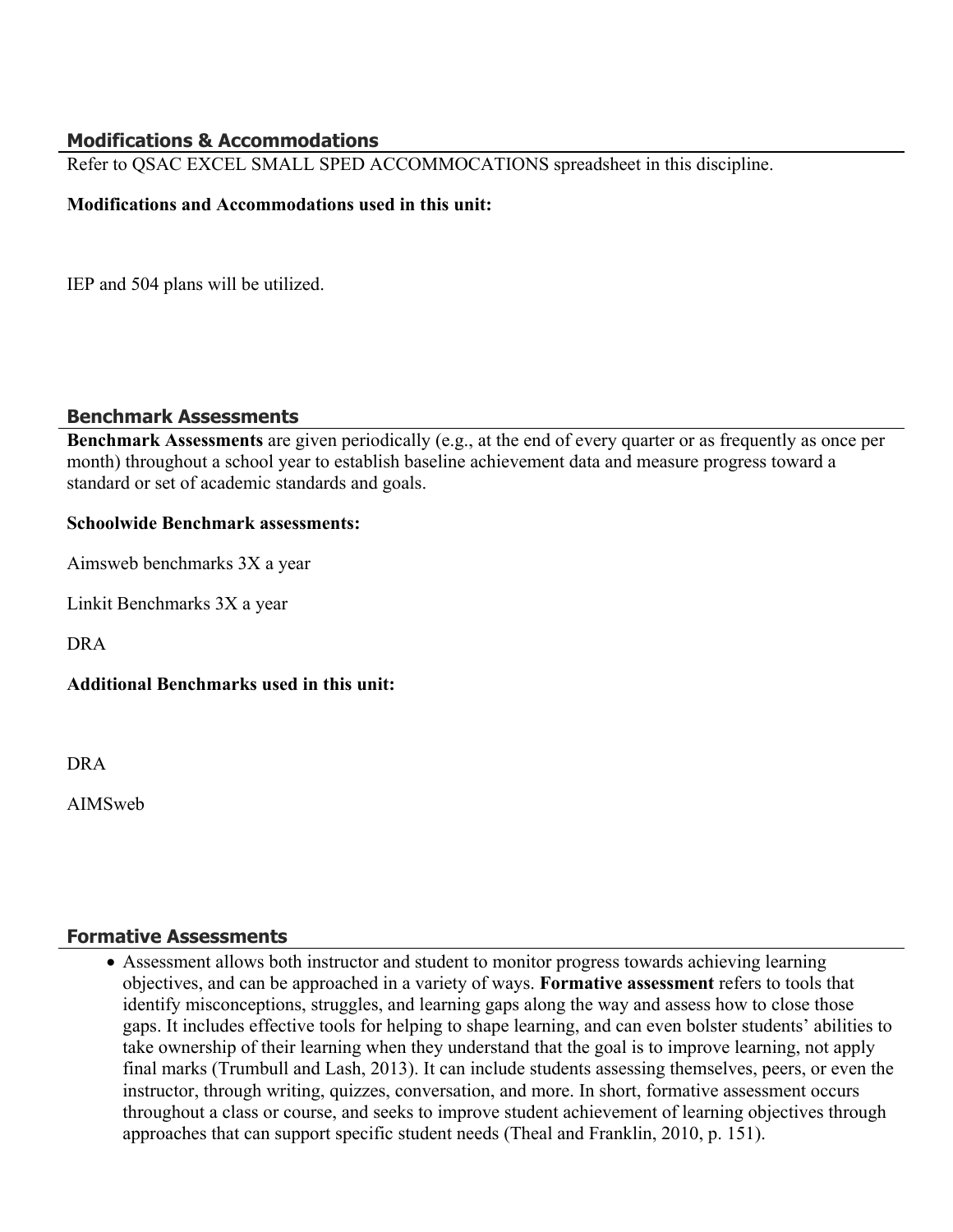#### **Modifications & Accommodations**

Refer to QSAC EXCEL SMALL SPED ACCOMMOCATIONS spreadsheet in this discipline.

#### **Modifications and Accommodations used in this unit:**

IEP and 504 plans will be utilized.

#### **Benchmark Assessments**

**Benchmark Assessments** are given periodically (e.g., at the end of every quarter or as frequently as once per month) throughout a school year to establish baseline achievement data and measure progress toward a standard or set of academic standards and goals.

#### **Schoolwide Benchmark assessments:**

Aimsweb benchmarks 3X a year

Linkit Benchmarks 3X a year

DRA

#### **Additional Benchmarks used in this unit:**

DRA

AIMSweb

#### **Formative Assessments**

 Assessment allows both instructor and student to monitor progress towards achieving learning objectives, and can be approached in a variety of ways. **Formative assessment** refers to tools that identify misconceptions, struggles, and learning gaps along the way and assess how to close those gaps. It includes effective tools for helping to shape learning, and can even bolster students' abilities to take ownership of their learning when they understand that the goal is to improve learning, not apply final marks (Trumbull and Lash, 2013). It can include students assessing themselves, peers, or even the instructor, through writing, quizzes, conversation, and more. In short, formative assessment occurs throughout a class or course, and seeks to improve student achievement of learning objectives through approaches that can support specific student needs (Theal and Franklin, 2010, p. 151).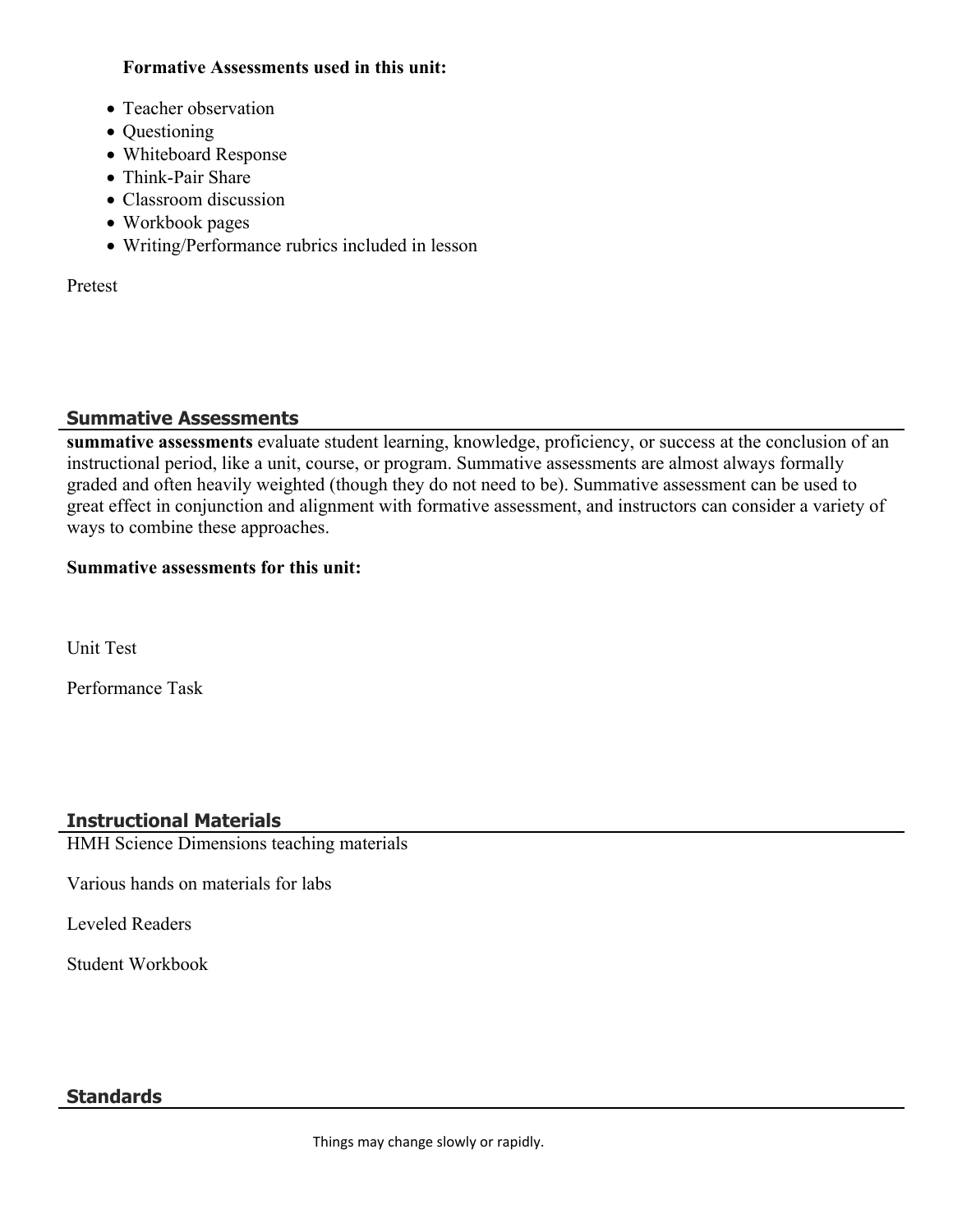#### **Formative Assessments used in this unit:**

- Teacher observation
- Questioning
- Whiteboard Response
- Think-Pair Share
- Classroom discussion
- Workbook pages
- Writing/Performance rubrics included in lesson

Pretest

## **Summative Assessments**

**summative assessments** evaluate student learning, knowledge, proficiency, or success at the conclusion of an instructional period, like a unit, course, or program. Summative assessments are almost always formally graded and often heavily weighted (though they do not need to be). Summative assessment can be used to great effect in conjunction and alignment with formative assessment, and instructors can consider a variety of ways to combine these approaches.

#### **Summative assessments for this unit:**

Unit Test

Performance Task

## **Instructional Materials**

HMH Science Dimensions teaching materials

Various hands on materials for labs

Leveled Readers

Student Workbook

## **Standards**